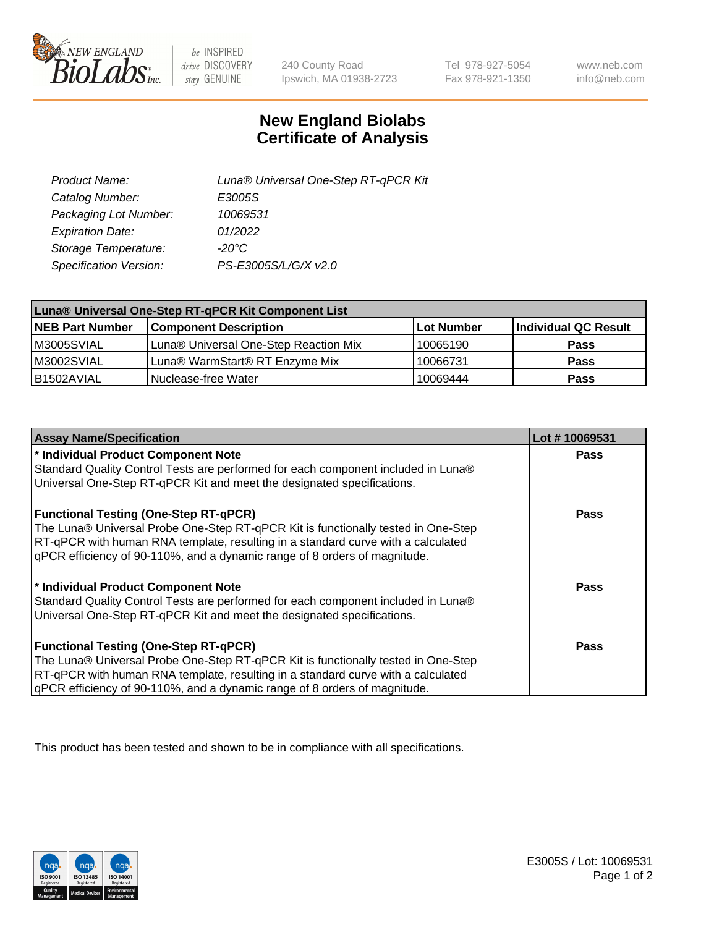

 $be$  INSPIRED drive DISCOVERY stay GENUINE

240 County Road Ipswich, MA 01938-2723

Tel 978-927-5054 Fax 978-921-1350

www.neb.com info@neb.com

## **New England Biolabs Certificate of Analysis**

| Product Name:           | Luna® Universal One-Step RT-qPCR Kit |
|-------------------------|--------------------------------------|
| Catalog Number:         | E3005S                               |
| Packaging Lot Number:   | 10069531                             |
| <b>Expiration Date:</b> | 01/2022                              |
| Storage Temperature:    | $-20^{\circ}$ C                      |
| Specification Version:  | PS-E3005S/L/G/X v2.0                 |

| Luna® Universal One-Step RT-qPCR Kit Component List |                                       |            |                      |  |
|-----------------------------------------------------|---------------------------------------|------------|----------------------|--|
| <b>NEB Part Number</b>                              | <b>Component Description</b>          | Lot Number | Individual QC Result |  |
| M3005SVIAL                                          | Luna® Universal One-Step Reaction Mix | 10065190   | <b>Pass</b>          |  |
| M3002SVIAL                                          | Luna® WarmStart® RT Enzyme Mix        | 10066731   | <b>Pass</b>          |  |
| B1502AVIAL                                          | Nuclease-free Water                   | 10069444   | <b>Pass</b>          |  |

| <b>Assay Name/Specification</b>                                                   | Lot #10069531 |
|-----------------------------------------------------------------------------------|---------------|
| * Individual Product Component Note                                               | <b>Pass</b>   |
| Standard Quality Control Tests are performed for each component included in Luna® |               |
| Universal One-Step RT-qPCR Kit and meet the designated specifications.            |               |
| <b>Functional Testing (One-Step RT-qPCR)</b>                                      | Pass          |
| The Luna® Universal Probe One-Step RT-qPCR Kit is functionally tested in One-Step |               |
| RT-qPCR with human RNA template, resulting in a standard curve with a calculated  |               |
| gPCR efficiency of 90-110%, and a dynamic range of 8 orders of magnitude.         |               |
| * Individual Product Component Note                                               | Pass          |
| Standard Quality Control Tests are performed for each component included in Luna® |               |
| Universal One-Step RT-qPCR Kit and meet the designated specifications.            |               |
| <b>Functional Testing (One-Step RT-qPCR)</b>                                      | <b>Pass</b>   |
| The Luna® Universal Probe One-Step RT-qPCR Kit is functionally tested in One-Step |               |
| RT-qPCR with human RNA template, resulting in a standard curve with a calculated  |               |
| gPCR efficiency of 90-110%, and a dynamic range of 8 orders of magnitude.         |               |

This product has been tested and shown to be in compliance with all specifications.